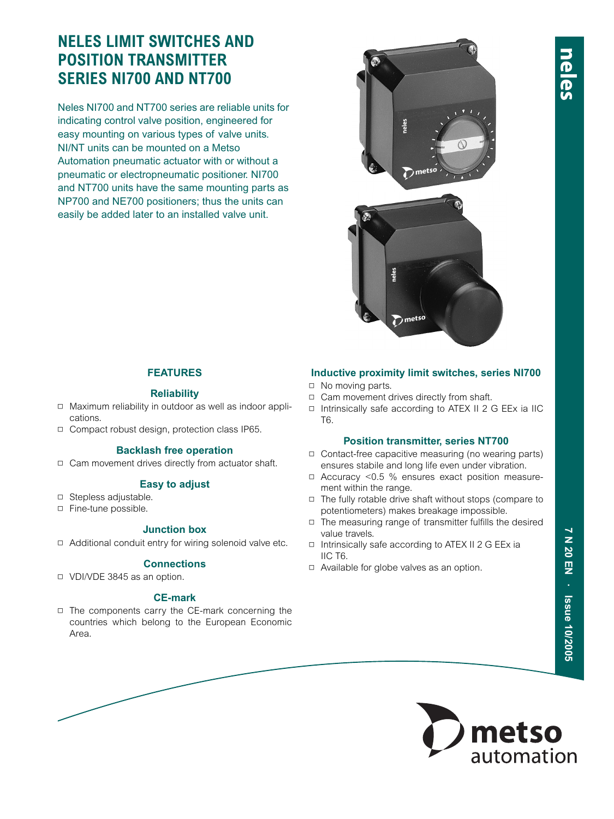# **NELES LIMIT SWITCHES AND POSITION TRANSMITTER SERIES NI700 AND NT700**

Neles NI700 and NT700 series are reliable units for indicating control valve position, engineered for easy mounting on various types of valve units. NI/NT units can be mounted on a Metso Automation pneumatic actuator with or without a pneumatic or electropneumatic positioner. NI700 and NT700 units have the same mounting parts as NP700 and NE700 positioners; thus the units can easily be added later to an installed valve unit.



### **FEATURES**

#### **Reliability**

- Maximum reliability in outdoor as well as indoor applications.
- Compact robust design, protection class IP65.

#### **Backlash free operation**

▫ Cam movement drives directly from actuator shaft.

#### **Easy to adjust**

- □ Stepless adjustable.
- □ Fine-tune possible.

#### **Junction box**

□ Additional conduit entry for wiring solenoid valve etc.

#### **Connections**

▫ VDI/VDE 3845 as an option.

#### **CE-mark**

▫ The components carry the CE-mark concerning the countries which belong to the European Economic Area.

#### **Inductive proximity limit switches, series NI700**

- □ No moving parts.
- $\Box$  Cam movement drives directly from shaft.
- Intrinsically safe according to ATEX II 2 G EEx ia IIC T6.

#### **Position transmitter, series NT700**

- Contact-free capacitive measuring (no wearing parts) ensures stabile and long life even under vibration.
- Accuracy <0.5 % ensures exact position measurement within the range.
- $\Box$  The fully rotable drive shaft without stops (compare to potentiometers) makes breakage impossible.
- The measuring range of transmitter fulfills the desired value travels.
- Intrinsically safe according to ATEX II 2 G EEx ia IIC T6.
- Available for globe valves as an option.

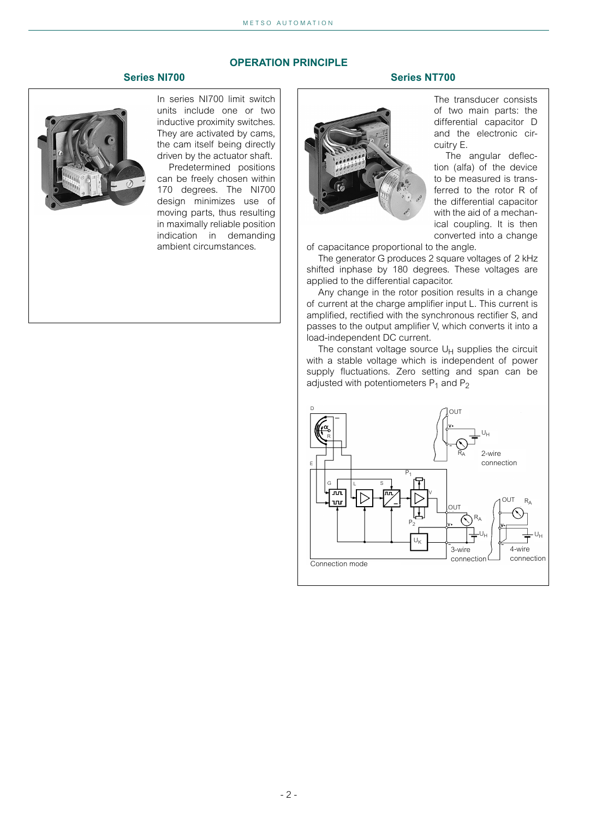#### **OPERATION PRINCIPLE**



In series NI700 limit switch units include one or two inductive proximity switches. They are activated by cams, the cam itself being directly driven by the actuator shaft.

Predetermined positions can be freely chosen within 170 degrees. The NI700 design minimizes use of moving parts, thus resulting in maximally reliable position indication in demanding ambient circumstances.

#### **Series NI700 Series NT700**



of two main parts: the differential capacitor D and the electronic circuitry E.

The transducer consists

The angular deflection (alfa) of the device to be measured is transferred to the rotor R of the differential capacitor with the aid of a mechanical coupling. It is then converted into a change

of capacitance proportional to the angle.

The generator G produces 2 square voltages of 2 kHz shifted inphase by 180 degrees. These voltages are applied to the differential capacitor.

Any change in the rotor position results in a change of current at the charge amplifier input L. This current is amplified, rectified with the synchronous rectifier S, and passes to the output amplifier V, which converts it into a load-independent DC current.

The constant voltage source  $U_H$  supplies the circuit with a stable voltage which is independent of power supply fluctuations. Zero setting and span can be adjusted with potentiometers  $P_1$  and  $P_2$ 

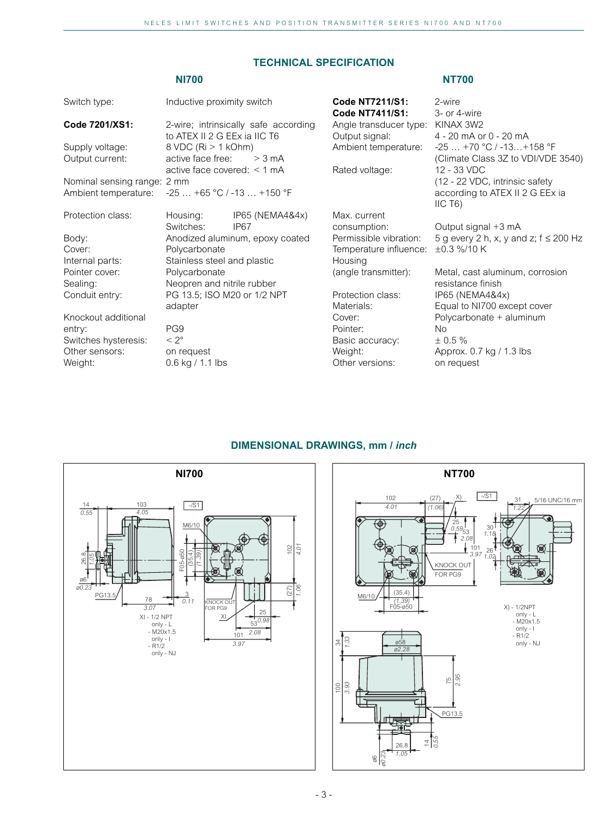#### **TECHNICAL SPECIFICATION**

#### **Code NT7211/S1:** 2-wire **Code NT7411/S1:** 3- or 4-wire Angle transducer type: KINAX 3W2 Output signal: 4 - 20 mA or 0 - 20 mA Ambient temperature: -25 … +70 °C / -13…+158 °F (Climate Class 3Z to VDI/VDE 3540) Rated voltage: 12 - 33 VDC (12 - 22 VDC, intrinsic safety according to ATEX II 2 G EEx ia IIC T6) Max. current consumption: Output signal +3 mA Permissible vibration: 5 g every 2 h, x, y and z;  $f \le 200$  Hz Temperature influence: ±0.3 %/10 K Housing (angle transmitter): Metal, cast aluminum, corrosion resistance finish Protection class: IP65 (NEMA4&4x) Materials: Equal to NI700 except cover Cover: Polycarbonate + aluminum Pointer: No<br>Basic accuracy:  $\pm 0.5\%$ Basic accuracy: Weight: Approx. 0.7 kg / 1.3 lbs Other versions: on request Switch type: Inductive proximity switch **Code 7201/XS1:** 2-wire; intrinsically safe according to ATEX II 2 G EEx ia IIC T6 Supply voltage:  $8 \text{ VDC}$  (Ri > 1 kOhm)<br>Output current: active face free:  $> 3 \text{ mA}$ Output current: active face free: active face covered: < 1 mA Nominal sensing range: 2 mm<br>Ambient temperature: -25 ...  $-25$  … +65 °C / -13 … +150 °F Protection class: Housing: IP65 (NEMA4&4x) Switches: IP67 Body: **Anodized aluminum, epoxy coated** Cover: Polycarbonate<br>
Internal parts: Stainless steel Stainless steel and plastic Pointer cover: Polycarbonate Sealing: Neopren and nitrile rubber Conduit entry: PG 13.5; ISO M20 or 1/2 NPT adapter Knockout additional entry: PG9 Switches hysteresis: < 2° Other sensors: on request Weight: 0.6 kg / 1.1 lbs

## **DIMENSIONAL DRAWINGS, mm /** *inch*



**NI700**



**NT700**